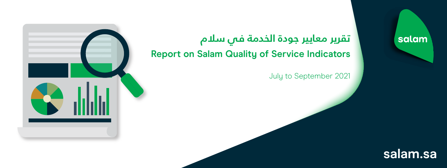

## **تقرير معايير جودة الخدمة في سلام Report on Salam Quality of Service Indicators**

July to September 2021

## salam

## **salam.sa**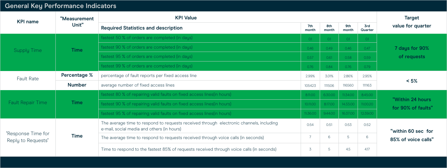## **General Key Performance Indicators**

| <b>KPI name</b>                          | "Measurement<br>Unit" | <b>KPI Value</b>                                                                                                                      |                |              |              |                       | <b>Target</b>                             |
|------------------------------------------|-----------------------|---------------------------------------------------------------------------------------------------------------------------------------|----------------|--------------|--------------|-----------------------|-------------------------------------------|
|                                          |                       | <b>Required Statistics and description</b>                                                                                            | 7th<br>month   | 8th<br>month | 9th<br>month | <b>3rd</b><br>Quarter | value for quarter                         |
| <b>Supply Time</b>                       | <b>Time</b>           | fastest 50 % of orders are completed (in days)                                                                                        | O.1            | 0.1          | 0.1          | O.1                   | 7 days for 90%<br>of requests             |
|                                          |                       | fastest 90 % of orders are completed (in days)                                                                                        | 0.46           | 0.49         | 0.46         | 0.47                  |                                           |
|                                          |                       | fastest 95 % of orders are completed (in days)                                                                                        | 0.57           | 0.61         | 0.58         | 0.59                  |                                           |
|                                          |                       | fastest 99 % of orders are completed (in days)                                                                                        | 0.76           | 0.84         | 0.76         | 0.79                  |                                           |
| <b>Fault Rate</b>                        | <b>Percentage %</b>   | percentage of fault reports per fixed access line                                                                                     | 2.99%          | 3.01%        | 2.86%        | 2.95%                 | $< 5\%$                                   |
|                                          | <b>Number</b>         | average number of fixed access lines                                                                                                  | 105423         | 111506       | 116560       | 111163                |                                           |
| <b>Fault Repair Time</b>                 | <b>Time</b>           | fastest 80 % of repairing valid faults on fixed access lines (in hours)                                                               | 8:11:00        | 6:30:00      | 11:34:00     | 8:45:00               | "Within 24 hours<br>for 90% of faults"    |
|                                          |                       | fastest 90 % of repairing valid faults on fixed access lines (in hours)                                                               | 10:11:00       | 8:17:00      | 14:33:00     | 11:00:20              |                                           |
|                                          |                       | fastest 95 % of repairing valid faults on fixed access lines (in hours)                                                               | 11:36:00       | 9:44:00      | 16:37:00     | 12:39:00              |                                           |
| "Response Time for<br>Reply to Requests" | <b>Time</b>           | The average time to respond to requests received through electronic channels, including<br>e-mail, social media and others (in hours) | 0:54           | 0:51         | 0:53         | 0:52                  | "within 60 sec for<br>85% of voice calls" |
|                                          |                       | The average time to respond to requests received through voice calls (in seconds)                                                     |                | 6            | 5            | 6                     |                                           |
|                                          |                       | Time to respond to the fastest 85% of requests received through voice calls (in seconds)                                              | $\overline{3}$ | 5            | 4.5          | 4.17                  |                                           |